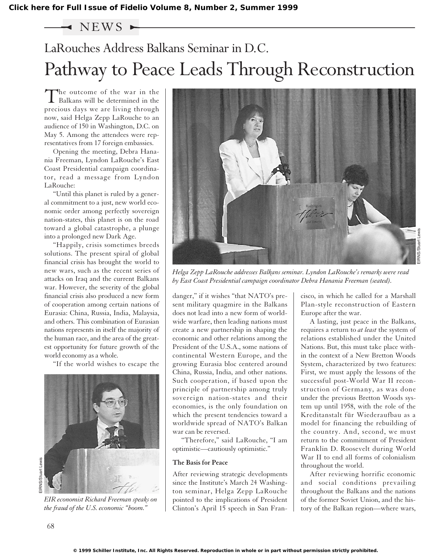### $\sim$  NEWS  $\sim$

## LaRouches Address Balkans Seminar in D.C. Pathway to Peace Leads Through Reconstruction

The outcome of the war in the Balkans will be determined in the precious days we are living through now, said Helga Zepp LaRouche to an audience of 150 in Washington, D.C. on May 5. Among the attendees were representatives from 17 foreign embassies.

Opening the meeting, Debra Hanania Freeman, Lyndon LaRouche's East Coast Presidential campaign coordinator, read a message from Lyndon LaRouche:

"Until this planet is ruled by a general commitment to a just, new world economic order among perfectly sovereign nation-states, this planet is on the road toward a global catastrophe, a plunge into a prolonged new Dark Age.

"Happily, crisis sometimes breeds solutions. The present spiral of global financial crisis has brought the world to new wars, such as the recent series of attacks on Iraq and the current Balkans war. However, the severity of the global financial crisis also produced a new form of cooperation among certain nations of Eurasia: China, Russia, India, Malaysia, and others. This combination of Eurasian nations represents in itself the majority of the human race, and the area of the greatest opportunity for future growth of the world economy as a whole.

"If the world wishes to escape the



*EIR economist Richard Freeman speaks on the fraud of the U.S. economic "boom."*



*Helga Zepp LaRouche addresses Balkans seminar. Lyndon LaRouche's remarks were read by East Coast Presidential campaign coordinator Debra Hanania Freeman (seated).*

danger," if it wishes "that NATO's present military quagmire in the Balkans does not lead into a new form of worldwide warfare, then leading nations must create a new partnership in shaping the economic and other relations among the President of the U.S.A., some nations of continental Western Europe, and the growing Eurasia bloc centered around China, Russia, India, and other nations. Such cooperation, if based upon the principle of partnership among truly sovereign nation-states and their economies, is the only foundation on which the present tendencies toward a worldwide spread of NATO's Balkan war can be reversed.

"Therefore," said LaRouche, "I am optimistic—cautiously optimistic."

#### **The Basis for Peace**

After reviewing strategic developments since the Institute's March 24 Washington seminar, Helga Zepp LaRouche pointed to the implications of President Clinton's April 15 speech in San Francisco, in which he called for a Marshall Plan-style reconstruction of Eastern Europe after the war.

A lasting, just peace in the Balkans, requires a return to *at least* the system of relations established under the United Nations. But, this must take place within the context of a New Bretton Woods System, characterized by two features: First, we must apply the lessons of the successful post-World War II reconstruction of Germany, as was done under the previous Bretton Woods system up until 1958, with the role of the Kreditanstalt für Wiederaufbau as a model for financing the rebuilding of the country. And, second, we must return to the commitment of President Franklin D. Roosevelt during World War II to end all forms of colonialism throughout the world.

After reviewing horrific economic and social conditions prevailing throughout the Balkans and the nations of the former Soviet Union, and the history of the Balkan region—where wars,